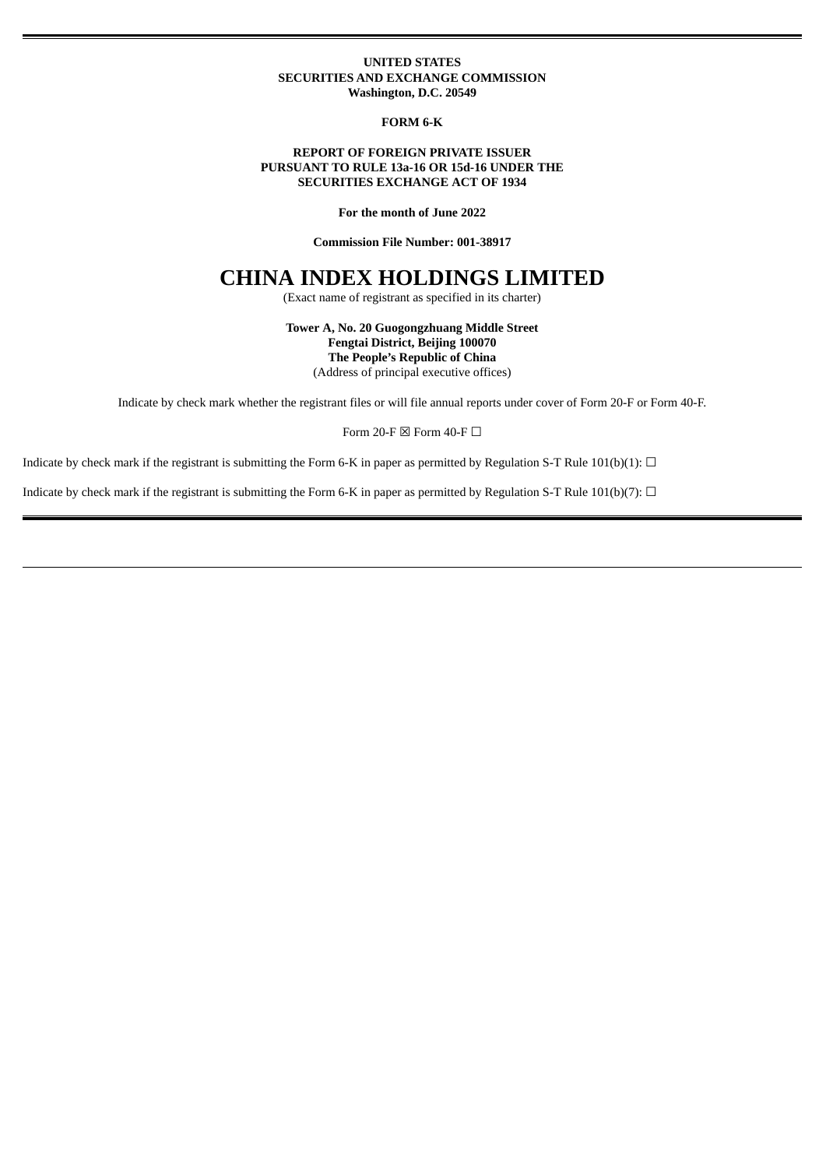## **UNITED STATES SECURITIES AND EXCHANGE COMMISSION Washington, D.C. 20549**

**FORM 6-K**

# **REPORT OF FOREIGN PRIVATE ISSUER PURSUANT TO RULE 13a-16 OR 15d-16 UNDER THE SECURITIES EXCHANGE ACT OF 1934**

**For the month of June 2022**

**Commission File Number: 001-38917**

# **CHINA INDEX HOLDINGS LIMITED**

(Exact name of registrant as specified in its charter)

**Tower A, No. 20 Guogongzhuang Middle Street Fengtai District, Beijing 100070 The People's Republic of China** (Address of principal executive offices)

Indicate by check mark whether the registrant files or will file annual reports under cover of Form 20-F or Form 40-F.

Form 20-F  $\boxtimes$  Form 40-F  $\Box$ 

Indicate by check mark if the registrant is submitting the Form 6-K in paper as permitted by Regulation S-T Rule 101(b)(1):  $\Box$ 

Indicate by check mark if the registrant is submitting the Form 6-K in paper as permitted by Regulation S-T Rule 101(b)(7):  $\Box$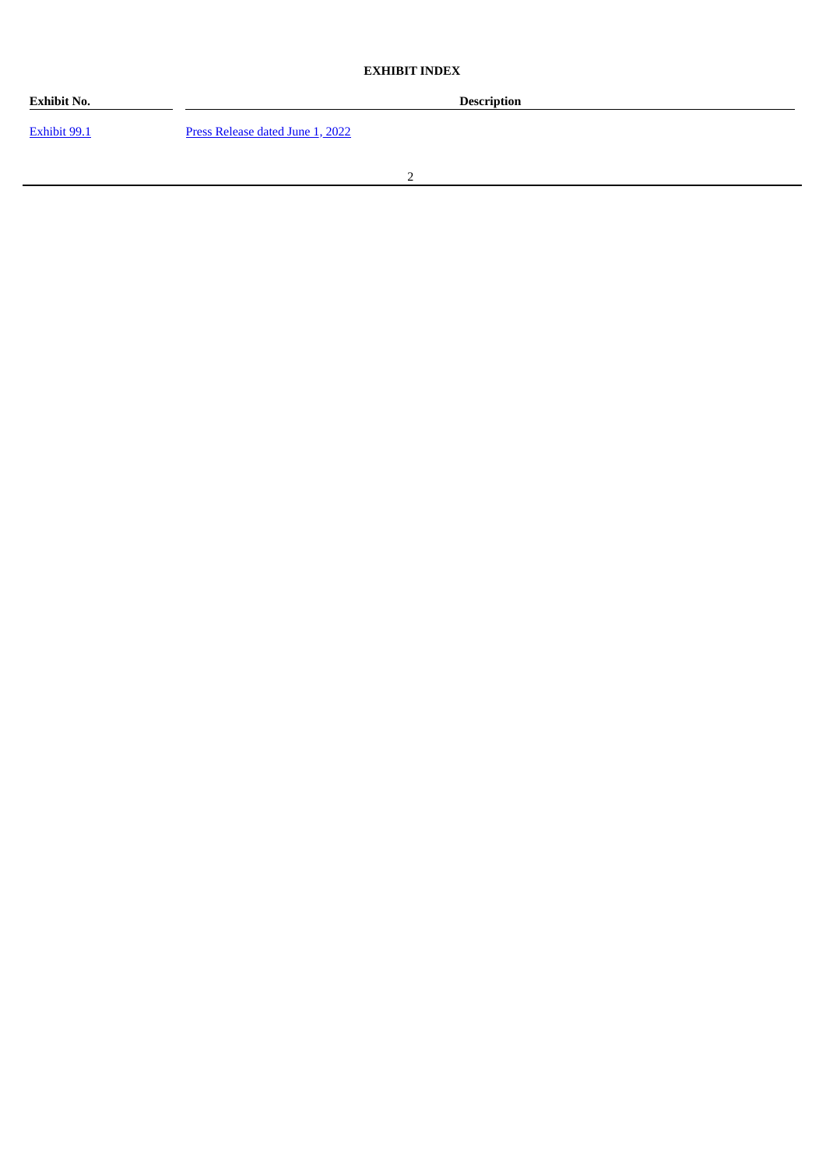# **EXHIBIT INDEX**

| <b>Exhibit No.</b> | Description                      |  |
|--------------------|----------------------------------|--|
| Exhibit 99.1       | Press Release dated June 1, 2022 |  |
|                    |                                  |  |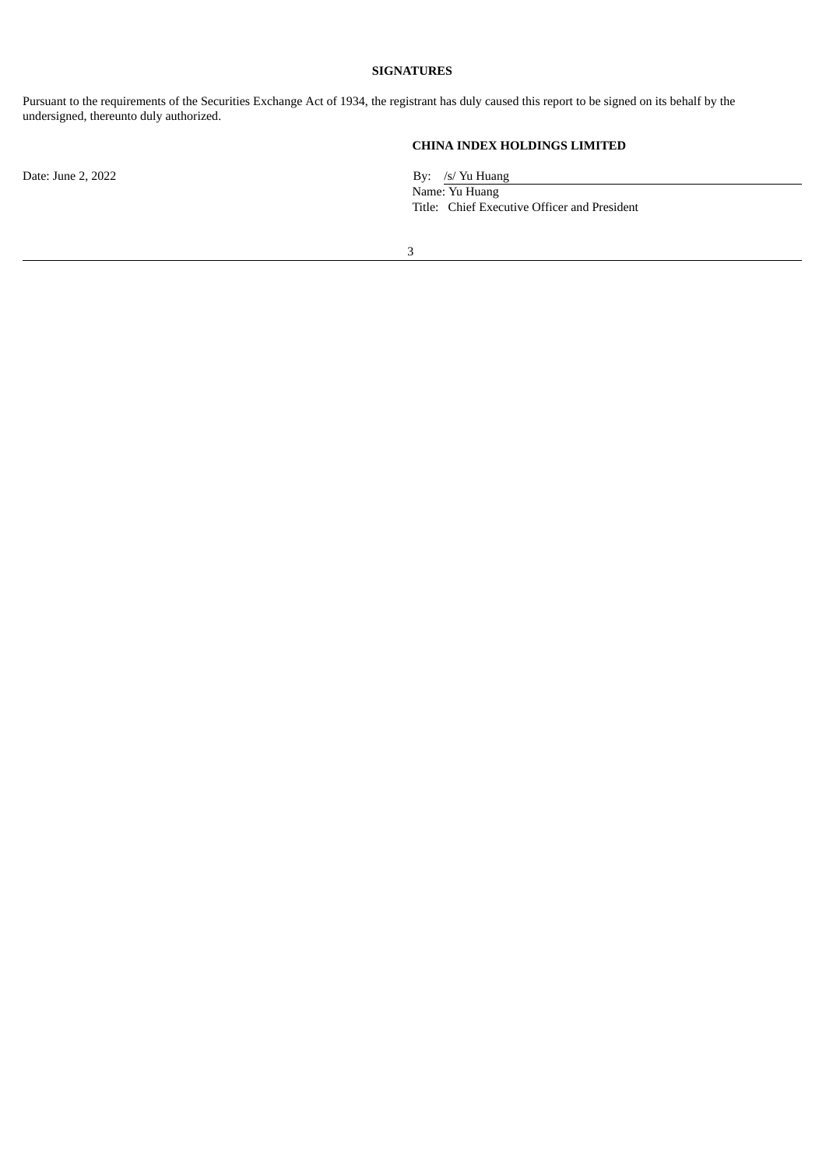# **SIGNATURES**

Pursuant to the requirements of the Securities Exchange Act of 1934, the registrant has duly caused this report to be signed on its behalf by the undersigned, thereunto duly authorized.

**CHINA INDEX HOLDINGS LIMITED**

Date: June 2, 2022 By: /s/ Yu Huang

Name: Yu Huang Title: Chief Executive Officer and President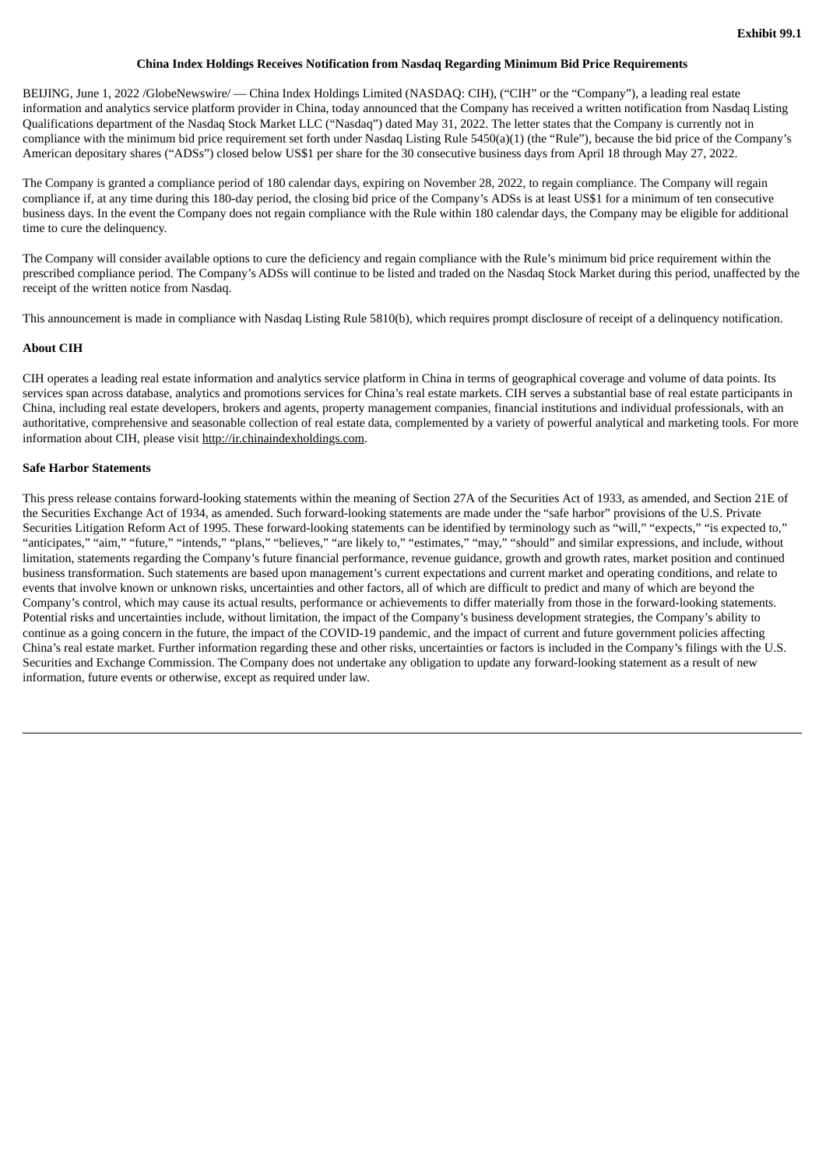### **China Index Holdings Receives Notification from Nasdaq Regarding Minimum Bid Price Requirements**

<span id="page-3-0"></span>BEIJING, June 1, 2022 /GlobeNewswire/ — China Index Holdings Limited (NASDAQ: CIH), ("CIH" or the "Company"), a leading real estate information and analytics service platform provider in China, today announced that the Company has received a written notification from Nasdaq Listing Qualifications department of the Nasdaq Stock Market LLC ("Nasdaq") dated May 31, 2022. The letter states that the Company is currently not in compliance with the minimum bid price requirement set forth under Nasdaq Listing Rule 5450(a)(1) (the "Rule"), because the bid price of the Company's American depositary shares ("ADSs") closed below US\$1 per share for the 30 consecutive business days from April 18 through May 27, 2022.

The Company is granted a compliance period of 180 calendar days, expiring on November 28, 2022, to regain compliance. The Company will regain compliance if, at any time during this 180-day period, the closing bid price of the Company's ADSs is at least US\$1 for a minimum of ten consecutive business days. In the event the Company does not regain compliance with the Rule within 180 calendar days, the Company may be eligible for additional time to cure the delinquency.

The Company will consider available options to cure the deficiency and regain compliance with the Rule's minimum bid price requirement within the prescribed compliance period. The Company's ADSs will continue to be listed and traded on the Nasdaq Stock Market during this period, unaffected by the receipt of the written notice from Nasdaq.

This announcement is made in compliance with Nasdaq Listing Rule 5810(b), which requires prompt disclosure of receipt of a delinquency notification.

### **About CIH**

CIH operates a leading real estate information and analytics service platform in China in terms of geographical coverage and volume of data points. Its services span across database, analytics and promotions services for China's real estate markets. CIH serves a substantial base of real estate participants in China, including real estate developers, brokers and agents, property management companies, financial institutions and individual professionals, with an authoritative, comprehensive and seasonable collection of real estate data, complemented by a variety of powerful analytical and marketing tools. For more information about CIH, please visit http://ir.chinaindexholdings.com.

## **Safe Harbor Statements**

This press release contains forward-looking statements within the meaning of Section 27A of the Securities Act of 1933, as amended, and Section 21E of the Securities Exchange Act of 1934, as amended. Such forward-looking statements are made under the "safe harbor" provisions of the U.S. Private Securities Litigation Reform Act of 1995. These forward-looking statements can be identified by terminology such as "will," "expects," "is expected to," "anticipates," "aim," "future," "intends," "plans," "believes," "are likely to," "estimates," "may," "should" and similar expressions, and include, without limitation, statements regarding the Company's future financial performance, revenue guidance, growth and growth rates, market position and continued business transformation. Such statements are based upon management's current expectations and current market and operating conditions, and relate to events that involve known or unknown risks, uncertainties and other factors, all of which are difficult to predict and many of which are beyond the Company's control, which may cause its actual results, performance or achievements to differ materially from those in the forward-looking statements. Potential risks and uncertainties include, without limitation, the impact of the Company's business development strategies, the Company's ability to continue as a going concern in the future, the impact of the COVID-19 pandemic, and the impact of current and future government policies affecting China's real estate market. Further information regarding these and other risks, uncertainties or factors is included in the Company's filings with the U.S. Securities and Exchange Commission. The Company does not undertake any obligation to update any forward-looking statement as a result of new information, future events or otherwise, except as required under law.